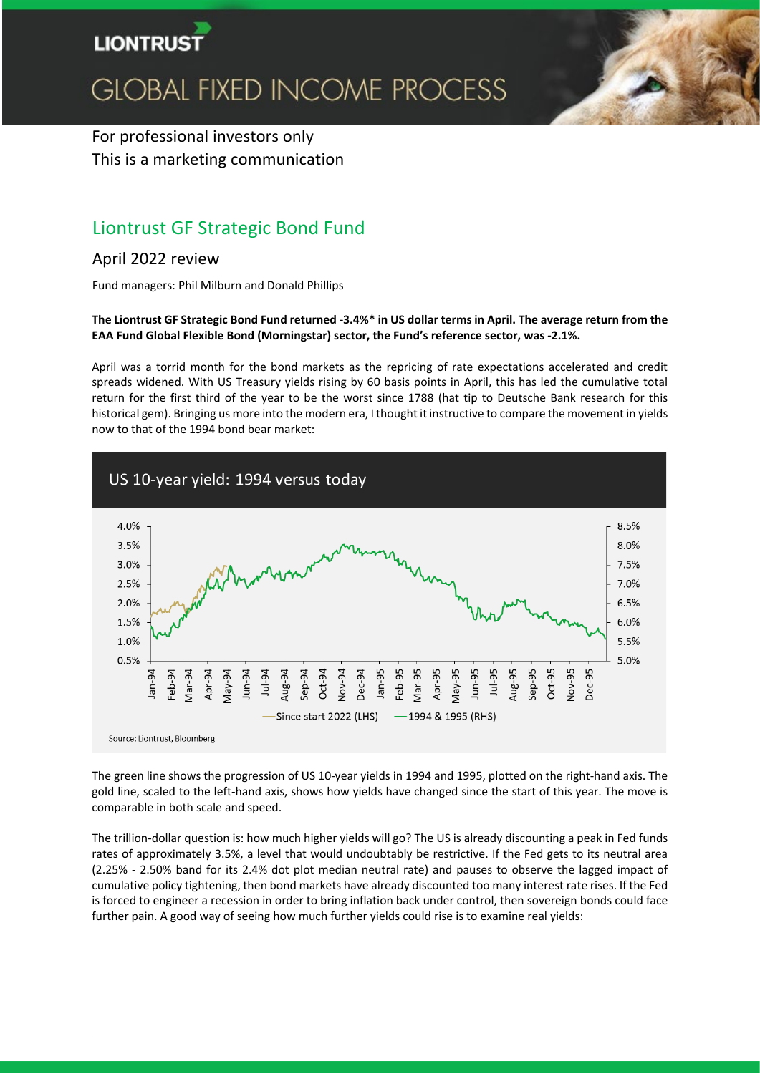

# **GLOBAL FIXED INCOME PROCESS**

# For professional investors only This is a marketing communication

# Liontrust GF Strategic Bond Fund

# April 2022 review

Fund managers: Phil Milburn and Donald Phillips

## **The Liontrust GF Strategic Bond Fund returned -3.4%\* in US dollar terms in April. The average return from the EAA Fund Global Flexible Bond (Morningstar) sector, the Fund's reference sector, was -2.1%.**

April was a torrid month for the bond markets as the repricing of rate expectations accelerated and credit spreads widened. With US Treasury yields rising by 60 basis points in April, this has led the cumulative total return for the first third of the year to be the worst since 1788 (hat tip to Deutsche Bank research for this historical gem). Bringing us more into the modern era, I thought it instructive to compare the movement in yields now to that of the 1994 bond bear market:



The green line shows the progression of US 10-year yields in 1994 and 1995, plotted on the right-hand axis. The gold line, scaled to the left-hand axis, shows how yields have changed since the start of this year. The move is comparable in both scale and speed.

The trillion-dollar question is: how much higher yields will go? The US is already discounting a peak in Fed funds rates of approximately 3.5%, a level that would undoubtably be restrictive. If the Fed gets to its neutral area (2.25% - 2.50% band for its 2.4% dot plot median neutral rate) and pauses to observe the lagged impact of cumulative policy tightening, then bond markets have already discounted too many interest rate rises. If the Fed is forced to engineer a recession in order to bring inflation back under control, then sovereign bonds could face further pain. A good way of seeing how much further yields could rise is to examine real yields: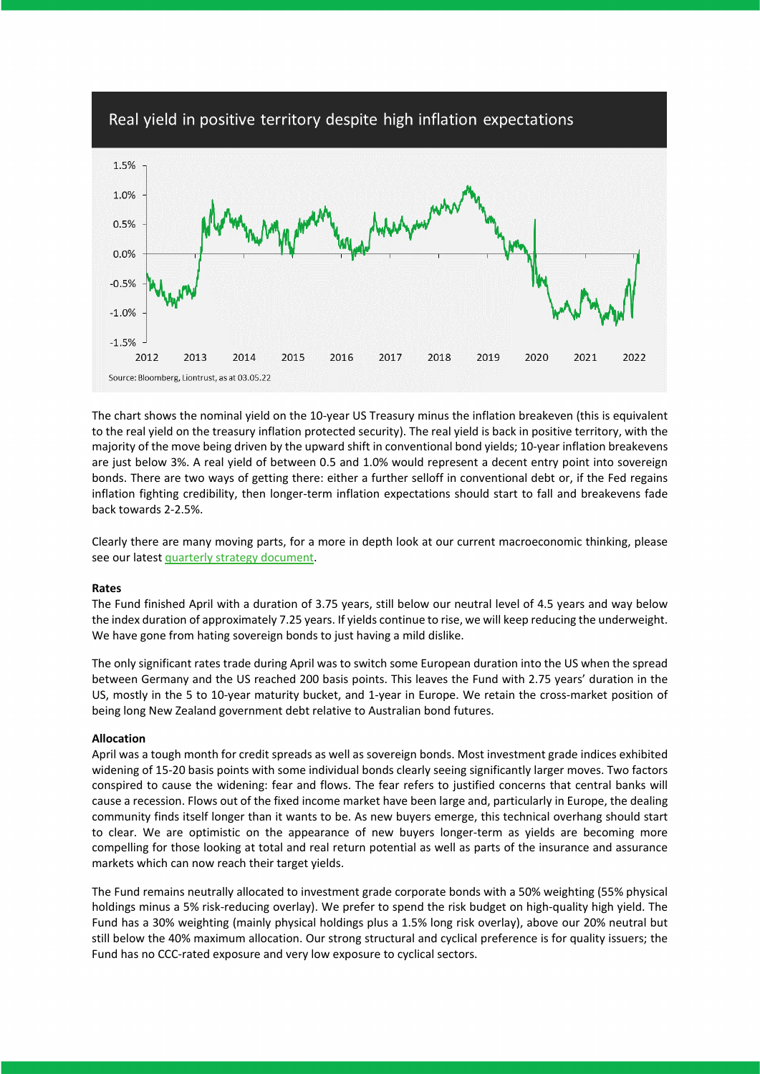

The chart shows the nominal yield on the 10-year US Treasury minus the inflation breakeven (this is equivalent to the real yield on the treasury inflation protected security). The real yield is back in positive territory, with the majority of the move being driven by the upward shift in conventional bond yields; 10-year inflation breakevens are just below 3%. A real yield of between 0.5 and 1.0% would represent a decent entry point into sovereign bonds. There are two ways of getting there: either a further selloff in conventional debt or, if the Fed regains inflation fighting credibility, then longer-term inflation expectations should start to fall and breakevens fade back towards 2-2.5%.

Clearly there are many moving parts, for a more in depth look at our current macroeconomic thinking, please see our lates[t quarterly strategy document.](https://www.liontrust.co.uk/insights/blogs/2022/05/gfi-quarterly-strategy-us-inflation-may-have-peaked-while-economic-growth-should-prove-resilient)

#### **Rates**

The Fund finished April with a duration of 3.75 years, still below our neutral level of 4.5 years and way below the index duration of approximately 7.25 years. If yields continue to rise, we will keep reducing the underweight. We have gone from hating sovereign bonds to just having a mild dislike.

The only significant rates trade during April was to switch some European duration into the US when the spread between Germany and the US reached 200 basis points. This leaves the Fund with 2.75 years' duration in the US, mostly in the 5 to 10-year maturity bucket, and 1-year in Europe. We retain the cross-market position of being long New Zealand government debt relative to Australian bond futures.

#### **Allocation**

April was a tough month for credit spreads as well as sovereign bonds. Most investment grade indices exhibited widening of 15-20 basis points with some individual bonds clearly seeing significantly larger moves. Two factors conspired to cause the widening: fear and flows. The fear refers to justified concerns that central banks will cause a recession. Flows out of the fixed income market have been large and, particularly in Europe, the dealing community finds itself longer than it wants to be. As new buyers emerge, this technical overhang should start to clear. We are optimistic on the appearance of new buyers longer-term as yields are becoming more compelling for those looking at total and real return potential as well as parts of the insurance and assurance markets which can now reach their target yields.

The Fund remains neutrally allocated to investment grade corporate bonds with a 50% weighting (55% physical holdings minus a 5% risk-reducing overlay). We prefer to spend the risk budget on high-quality high yield. The Fund has a 30% weighting (mainly physical holdings plus a 1.5% long risk overlay), above our 20% neutral but still below the 40% maximum allocation. Our strong structural and cyclical preference is for quality issuers; the Fund has no CCC-rated exposure and very low exposure to cyclical sectors.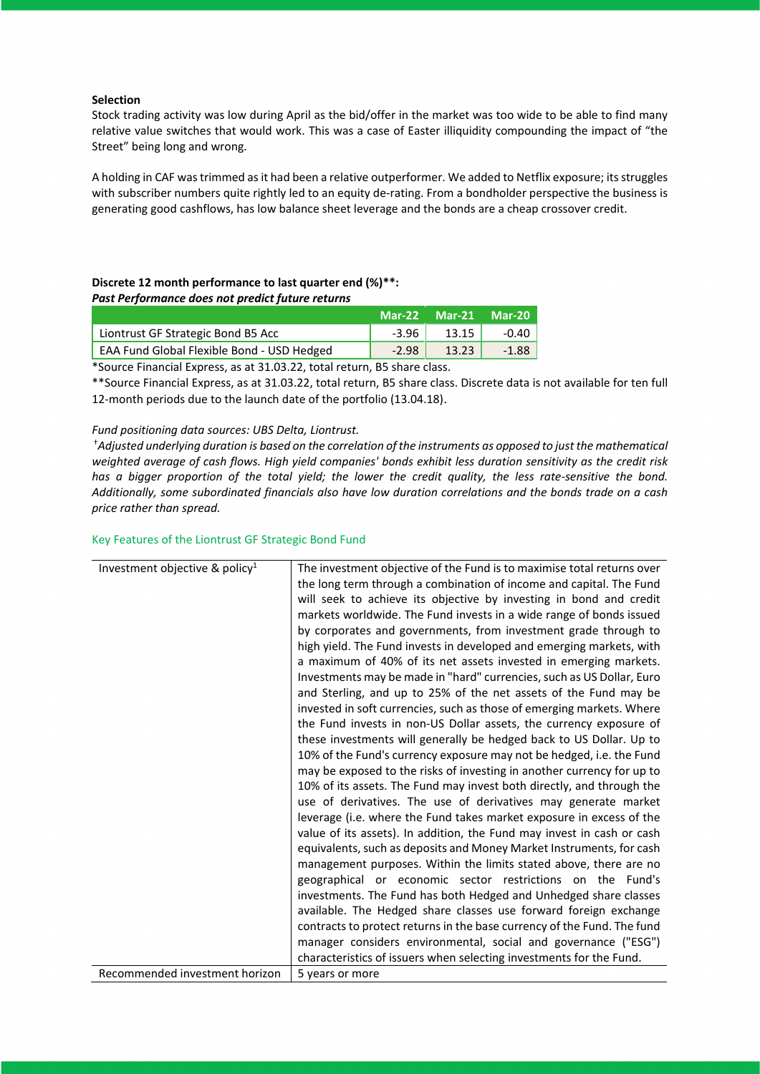#### **Selection**

Stock trading activity was low during April as the bid/offer in the market was too wide to be able to find many relative value switches that would work. This was a case of Easter illiquidity compounding the impact of "the Street" being long and wrong.

A holding in CAF was trimmed as it had been a relative outperformer. We added to Netflix exposure; itsstruggles with subscriber numbers quite rightly led to an equity de-rating. From a bondholder perspective the business is generating good cashflows, has low balance sheet leverage and the bonds are a cheap crossover credit.

## **Discrete 12 month performance to last quarter end (%)\*\*:** *Past Performance does not predict future returns*

|                                                   | <b>Mar-22 Mar-21</b> |       | <b>Mar-20</b> |
|---------------------------------------------------|----------------------|-------|---------------|
| Liontrust GF Strategic Bond B5 Acc                | $-3.96$              | 13.15 | $-0.40$       |
| <b>EAA Fund Global Flexible Bond - USD Hedged</b> | $-2.98$              | 13.23 | $-1.88$       |

\*Source Financial Express, as at 31.03.22, total return, B5 share class.

\*\*Source Financial Express, as at 31.03.22, total return, B5 share class. Discrete data is not available for ten full 12-month periods due to the launch date of the portfolio (13.04.18).

### *Fund positioning data sources: UBS Delta, Liontrust.*

†*Adjusted underlying duration is based on the correlation of the instruments as opposed to just the mathematical weighted average of cash flows. High yield companies' bonds exhibit less duration sensitivity as the credit risk has a bigger proportion of the total yield; the lower the credit quality, the less rate-sensitive the bond. Additionally, some subordinated financials also have low duration correlations and the bonds trade on a cash price rather than spread.*

#### Key Features of the Liontrust GF Strategic Bond Fund

| Investment objective & policy <sup>1</sup> | The investment objective of the Fund is to maximise total returns over<br>the long term through a combination of income and capital. The Fund<br>will seek to achieve its objective by investing in bond and credit<br>markets worldwide. The Fund invests in a wide range of bonds issued<br>by corporates and governments, from investment grade through to<br>high yield. The Fund invests in developed and emerging markets, with<br>a maximum of 40% of its net assets invested in emerging markets.<br>Investments may be made in "hard" currencies, such as US Dollar, Euro<br>and Sterling, and up to 25% of the net assets of the Fund may be<br>invested in soft currencies, such as those of emerging markets. Where<br>the Fund invests in non-US Dollar assets, the currency exposure of<br>these investments will generally be hedged back to US Dollar. Up to<br>10% of the Fund's currency exposure may not be hedged, i.e. the Fund<br>may be exposed to the risks of investing in another currency for up to<br>10% of its assets. The Fund may invest both directly, and through the<br>use of derivatives. The use of derivatives may generate market<br>leverage (i.e. where the Fund takes market exposure in excess of the<br>value of its assets). In addition, the Fund may invest in cash or cash<br>equivalents, such as deposits and Money Market Instruments, for cash<br>management purposes. Within the limits stated above, there are no<br>geographical or economic sector restrictions on the Fund's |
|--------------------------------------------|----------------------------------------------------------------------------------------------------------------------------------------------------------------------------------------------------------------------------------------------------------------------------------------------------------------------------------------------------------------------------------------------------------------------------------------------------------------------------------------------------------------------------------------------------------------------------------------------------------------------------------------------------------------------------------------------------------------------------------------------------------------------------------------------------------------------------------------------------------------------------------------------------------------------------------------------------------------------------------------------------------------------------------------------------------------------------------------------------------------------------------------------------------------------------------------------------------------------------------------------------------------------------------------------------------------------------------------------------------------------------------------------------------------------------------------------------------------------------------------------------------------------------------------|
|                                            |                                                                                                                                                                                                                                                                                                                                                                                                                                                                                                                                                                                                                                                                                                                                                                                                                                                                                                                                                                                                                                                                                                                                                                                                                                                                                                                                                                                                                                                                                                                                        |
|                                            | investments. The Fund has both Hedged and Unhedged share classes                                                                                                                                                                                                                                                                                                                                                                                                                                                                                                                                                                                                                                                                                                                                                                                                                                                                                                                                                                                                                                                                                                                                                                                                                                                                                                                                                                                                                                                                       |
|                                            | available. The Hedged share classes use forward foreign exchange                                                                                                                                                                                                                                                                                                                                                                                                                                                                                                                                                                                                                                                                                                                                                                                                                                                                                                                                                                                                                                                                                                                                                                                                                                                                                                                                                                                                                                                                       |
|                                            | contracts to protect returns in the base currency of the Fund. The fund                                                                                                                                                                                                                                                                                                                                                                                                                                                                                                                                                                                                                                                                                                                                                                                                                                                                                                                                                                                                                                                                                                                                                                                                                                                                                                                                                                                                                                                                |
|                                            | manager considers environmental, social and governance ("ESG")                                                                                                                                                                                                                                                                                                                                                                                                                                                                                                                                                                                                                                                                                                                                                                                                                                                                                                                                                                                                                                                                                                                                                                                                                                                                                                                                                                                                                                                                         |
|                                            | characteristics of issuers when selecting investments for the Fund.                                                                                                                                                                                                                                                                                                                                                                                                                                                                                                                                                                                                                                                                                                                                                                                                                                                                                                                                                                                                                                                                                                                                                                                                                                                                                                                                                                                                                                                                    |
| Recommended investment horizon             | 5 years or more                                                                                                                                                                                                                                                                                                                                                                                                                                                                                                                                                                                                                                                                                                                                                                                                                                                                                                                                                                                                                                                                                                                                                                                                                                                                                                                                                                                                                                                                                                                        |